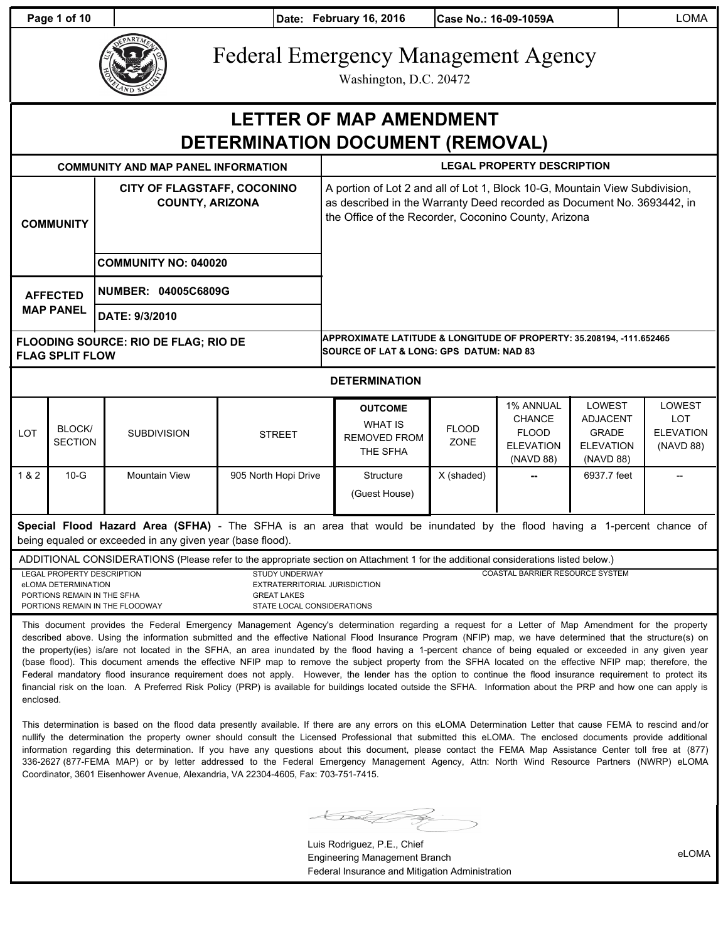**Page 1 of 10 Date: February 16, 2016 Case No.: 16-09-1059A LOMA** 



# Federal Emergency Management Agency

Washington, D.C. 20472

| <b>LETTER OF MAP AMENDMENT</b><br>DETERMINATION DOCUMENT (REMOVAL)                                                                                                                                                                                                                                                                                                                                                                                                                                                                   |                          |                                                                                                                                                                                                                                                                                                                          |                      |                                                                                                                                                                                                               |                      |                                                                                    |                                                                                   |                                                              |  |  |  |  |
|--------------------------------------------------------------------------------------------------------------------------------------------------------------------------------------------------------------------------------------------------------------------------------------------------------------------------------------------------------------------------------------------------------------------------------------------------------------------------------------------------------------------------------------|--------------------------|--------------------------------------------------------------------------------------------------------------------------------------------------------------------------------------------------------------------------------------------------------------------------------------------------------------------------|----------------------|---------------------------------------------------------------------------------------------------------------------------------------------------------------------------------------------------------------|----------------------|------------------------------------------------------------------------------------|-----------------------------------------------------------------------------------|--------------------------------------------------------------|--|--|--|--|
|                                                                                                                                                                                                                                                                                                                                                                                                                                                                                                                                      |                          | <b>COMMUNITY AND MAP PANEL INFORMATION</b>                                                                                                                                                                                                                                                                               |                      | <b>LEGAL PROPERTY DESCRIPTION</b>                                                                                                                                                                             |                      |                                                                                    |                                                                                   |                                                              |  |  |  |  |
| <b>COMMUNITY</b>                                                                                                                                                                                                                                                                                                                                                                                                                                                                                                                     |                          | CITY OF FLAGSTAFF, COCONINO<br><b>COUNTY, ARIZONA</b>                                                                                                                                                                                                                                                                    |                      | A portion of Lot 2 and all of Lot 1, Block 10-G, Mountain View Subdivision,<br>as described in the Warranty Deed recorded as Document No. 3693442, in<br>the Office of the Recorder, Coconino County, Arizona |                      |                                                                                    |                                                                                   |                                                              |  |  |  |  |
|                                                                                                                                                                                                                                                                                                                                                                                                                                                                                                                                      |                          | <b>COMMUNITY NO: 040020</b>                                                                                                                                                                                                                                                                                              |                      |                                                                                                                                                                                                               |                      |                                                                                    |                                                                                   |                                                              |  |  |  |  |
| <b>AFFECTED</b><br><b>MAP PANEL</b>                                                                                                                                                                                                                                                                                                                                                                                                                                                                                                  |                          | <b>NUMBER: 04005C6809G</b>                                                                                                                                                                                                                                                                                               |                      |                                                                                                                                                                                                               |                      |                                                                                    |                                                                                   |                                                              |  |  |  |  |
|                                                                                                                                                                                                                                                                                                                                                                                                                                                                                                                                      |                          | DATE: 9/3/2010                                                                                                                                                                                                                                                                                                           |                      |                                                                                                                                                                                                               |                      |                                                                                    |                                                                                   |                                                              |  |  |  |  |
| <b>FLOODING SOURCE: RIO DE FLAG; RIO DE</b><br><b>FLAG SPLIT FLOW</b>                                                                                                                                                                                                                                                                                                                                                                                                                                                                |                          |                                                                                                                                                                                                                                                                                                                          |                      | APPROXIMATE LATITUDE & LONGITUDE OF PROPERTY: 35.208194, -111.652465<br>SOURCE OF LAT & LONG: GPS_DATUM: NAD 83                                                                                               |                      |                                                                                    |                                                                                   |                                                              |  |  |  |  |
| <b>DETERMINATION</b>                                                                                                                                                                                                                                                                                                                                                                                                                                                                                                                 |                          |                                                                                                                                                                                                                                                                                                                          |                      |                                                                                                                                                                                                               |                      |                                                                                    |                                                                                   |                                                              |  |  |  |  |
| LOT                                                                                                                                                                                                                                                                                                                                                                                                                                                                                                                                  | BLOCK/<br><b>SECTION</b> | <b>SUBDIVISION</b>                                                                                                                                                                                                                                                                                                       | <b>STREET</b>        | <b>OUTCOME</b><br><b>WHAT IS</b><br><b>REMOVED FROM</b><br>THE SFHA                                                                                                                                           | <b>FLOOD</b><br>ZONE | <b>1% ANNUAL</b><br><b>CHANCE</b><br><b>FLOOD</b><br><b>ELEVATION</b><br>(NAVD 88) | <b>LOWEST</b><br><b>ADJACENT</b><br><b>GRADE</b><br><b>ELEVATION</b><br>(NAVD 88) | <b>LOWEST</b><br><b>LOT</b><br><b>ELEVATION</b><br>(NAVD 88) |  |  |  |  |
| 1 & 2                                                                                                                                                                                                                                                                                                                                                                                                                                                                                                                                | $10-G$                   | <b>Mountain View</b>                                                                                                                                                                                                                                                                                                     | 905 North Hopi Drive | Structure<br>(Guest House)                                                                                                                                                                                    | X (shaded)           |                                                                                    | 6937.7 feet                                                                       | $\overline{\phantom{a}}$                                     |  |  |  |  |
| Special Flood Hazard Area (SFHA) - The SFHA is an area that would be inundated by the flood having a 1-percent chance of<br>being equaled or exceeded in any given year (base flood).                                                                                                                                                                                                                                                                                                                                                |                          |                                                                                                                                                                                                                                                                                                                          |                      |                                                                                                                                                                                                               |                      |                                                                                    |                                                                                   |                                                              |  |  |  |  |
| ADDITIONAL CONSIDERATIONS (Please refer to the appropriate section on Attachment 1 for the additional considerations listed below.)<br><b>LEGAL PROPERTY DESCRIPTION</b><br><b>STUDY UNDERWAY</b><br>eLOMA DETERMINATION<br>EXTRATERRITORIAL JURISDICTION<br>PORTIONS REMAIN IN THE SFHA<br><b>GREAT LAKES</b><br>PORTIONS REMAIN IN THE FLOODWAY<br>STATE LOCAL CONSIDERATIONS<br>This document provides the Federal Emergency Management Agency's determination regarding a request for a Letter of Map Amendment for the property |                          |                                                                                                                                                                                                                                                                                                                          |                      |                                                                                                                                                                                                               |                      |                                                                                    | <b>COASTAL BARRIER RESOURCE SYSTEM</b>                                            |                                                              |  |  |  |  |
|                                                                                                                                                                                                                                                                                                                                                                                                                                                                                                                                      |                          | described above. Using the information submitted and the effective National Flood Insurance Program (NFIP) map, we have determined that the structure(s) on<br>the property(ies) is/are not located in the SFHA, an area inundated by the flood having a 1-percent chance of being equaled or exceeded in any given year |                      |                                                                                                                                                                                                               |                      |                                                                                    |                                                                                   |                                                              |  |  |  |  |

(base flood). This document amends the effective NFIP map to remove the subject property from the SFHA located on the effective NFIP map; therefore, the Federal mandatory flood insurance requirement does not apply. However, the lender has the option to continue the flood insurance requirement to protect its financial risk on the loan. A Preferred Risk Policy (PRP) is available for buildings located outside the SFHA. Information about the PRP and how one can apply is enclosed.

This determination is based on the flood data presently available. If there are any errors on this eLOMA Determination Letter that cause FEMA to rescind and/or nullify the determination the property owner should consult the Licensed Professional that submitted this eLOMA. The enclosed documents provide additional information regarding this determination. If you have any questions about this document, please contact the FEMA Map Assistance Center toll free at (877) 336-2627 (877-FEMA MAP) or by letter addressed to the Federal Emergency Management Agency, Attn: North Wind Resource Partners (NWRP) eLOMA Coordinator, 3601 Eisenhower Avenue, Alexandria, VA 22304-4605, Fax: 703-751-7415.

 $\bigcup$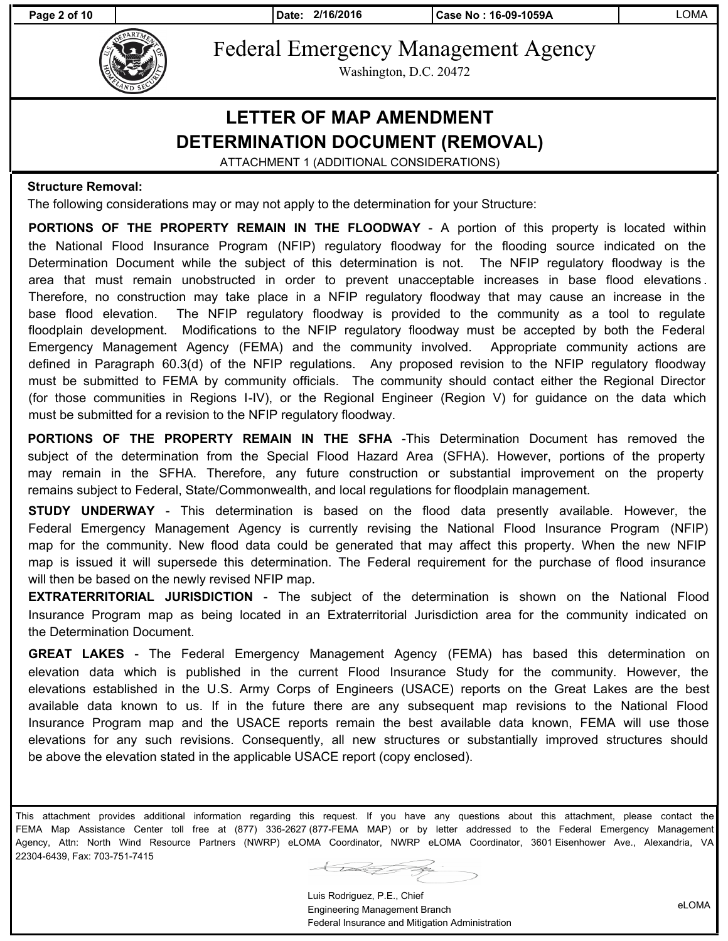**Page 2 of 10 Date: 2/16/2016 Case No : 16-09-1059A** LOMA



Federal Emergency Management Agency

Washington, D.C. 20472

### **LETTER OF MAP AMENDMENT DETERMINATION DOCUMENT (REMOVAL)**

ATTACHMENT 1 (ADDITIONAL CONSIDERATIONS)

#### **Structure Removal:**

The following considerations may or may not apply to the determination for your Structure:

**PORTIONS OF THE PROPERTY REMAIN IN THE FLOODWAY** - A portion of this property is located within the National Flood Insurance Program (NFIP) regulatory floodway for the flooding source indicated on the Determination Document while the subject of this determination is not. The NFIP regulatory floodway is the area that must remain unobstructed in order to prevent unacceptable increases in base flood elevations . Therefore, no construction may take place in a NFIP regulatory floodway that may cause an increase in the base flood elevation. The NFIP regulatory floodway is provided to the community as a tool to regulate floodplain development. Modifications to the NFIP regulatory floodway must be accepted by both the Federal Emergency Management Agency (FEMA) and the community involved. Appropriate community actions are defined in Paragraph 60.3(d) of the NFIP regulations. Any proposed revision to the NFIP regulatory floodway must be submitted to FEMA by community officials. The community should contact either the Regional Director (for those communities in Regions I-IV), or the Regional Engineer (Region V) for guidance on the data which must be submitted for a revision to the NFIP regulatory floodway.

**PORTIONS OF THE PROPERTY REMAIN IN THE SFHA** -This Determination Document has removed the subject of the determination from the Special Flood Hazard Area (SFHA). However, portions of the property may remain in the SFHA. Therefore, any future construction or substantial improvement on the property remains subject to Federal, State/Commonwealth, and local regulations for floodplain management.

**STUDY UNDERWAY** - This determination is based on the flood data presently available. However, the Federal Emergency Management Agency is currently revising the National Flood Insurance Program (NFIP) map for the community. New flood data could be generated that may affect this property. When the new NFIP map is issued it will supersede this determination. The Federal requirement for the purchase of flood insurance will then be based on the newly revised NFIP map.

**EXTRATERRITORIAL JURISDICTION** - The subject of the determination is shown on the National Flood Insurance Program map as being located in an Extraterritorial Jurisdiction area for the community indicated on the Determination Document.

**GREAT LAKES** - The Federal Emergency Management Agency (FEMA) has based this determination on elevation data which is published in the current Flood Insurance Study for the community. However, the elevations established in the U.S. Army Corps of Engineers (USACE) reports on the Great Lakes are the best available data known to us. If in the future there are any subsequent map revisions to the National Flood Insurance Program map and the USACE reports remain the best available data known, FEMA will use those elevations for any such revisions. Consequently, all new structures or substantially improved structures should be above the elevation stated in the applicable USACE report (copy enclosed).

This attachment provides additional information regarding this request. If you have any questions about this attachment, please contact the FEMA Map Assistance Center toll free at (877) 336-2627 (877-FEMA MAP) or by letter addressed to the Federal Emergency Management Agency, Attn: North Wind Resource Partners (NWRP) eLOMA Coordinator, NWRP eLOMA Coordinator, 3601 Eisenhower Ave., Alexandria, VA 22304-6439, Fax: 703-751-7415

 $\overline{\phantom{a}}$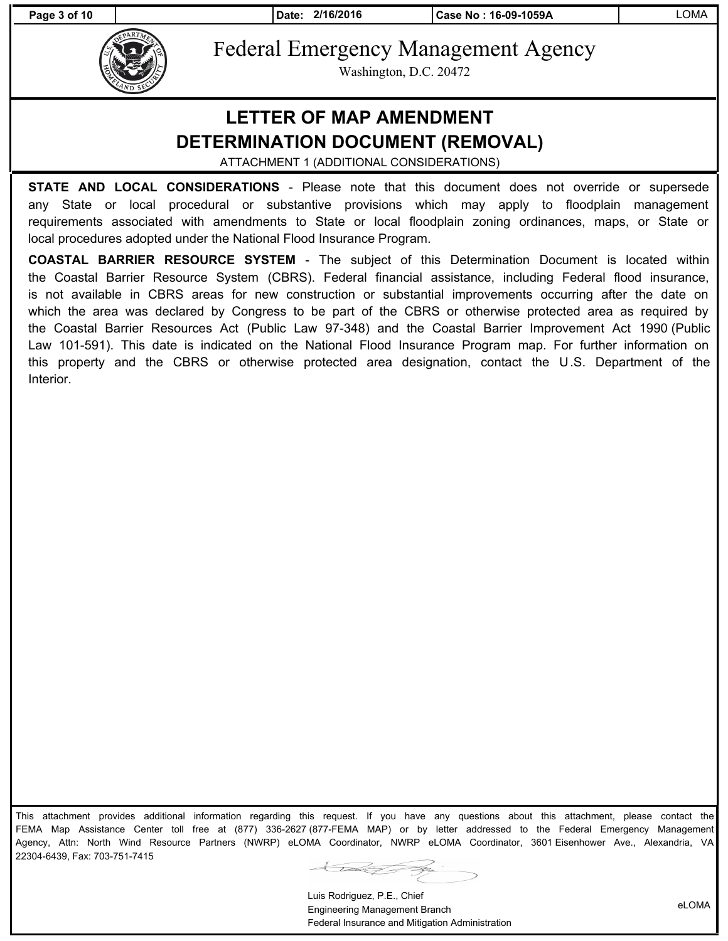**Page 3 of 10 Date: 2/16/2016 Case No : 16-09-1059A** LOMA



Federal Emergency Management Agency

Washington, D.C. 20472

### **LETTER OF MAP AMENDMENT DETERMINATION DOCUMENT (REMOVAL)**

ATTACHMENT 1 (ADDITIONAL CONSIDERATIONS)

**STATE AND LOCAL CONSIDERATIONS** - Please note that this document does not override or supersede any State or local procedural or substantive provisions which may apply to floodplain management requirements associated with amendments to State or local floodplain zoning ordinances, maps, or State or local procedures adopted under the National Flood Insurance Program.

**COASTAL BARRIER RESOURCE SYSTEM** - The subject of this Determination Document is located within the Coastal Barrier Resource System (CBRS). Federal financial assistance, including Federal flood insurance, is not available in CBRS areas for new construction or substantial improvements occurring after the date on which the area was declared by Congress to be part of the CBRS or otherwise protected area as required by the Coastal Barrier Resources Act (Public Law 97-348) and the Coastal Barrier Improvement Act 1990 (Public Law 101-591). This date is indicated on the National Flood Insurance Program map. For further information on this property and the CBRS or otherwise protected area designation, contact the U.S. Department of the Interior.

This attachment provides additional information regarding this request. If you have any questions about this attachment, please contact the FEMA Map Assistance Center toll free at (877) 336-2627 (877-FEMA MAP) or by letter addressed to the Federal Emergency Management Agency, Attn: North Wind Resource Partners (NWRP) eLOMA Coordinator, NWRP eLOMA Coordinator, 3601 Eisenhower Ave., Alexandria, VA 22304-6439, Fax: 703-751-7415

 $\overline{\mathcal{L}}$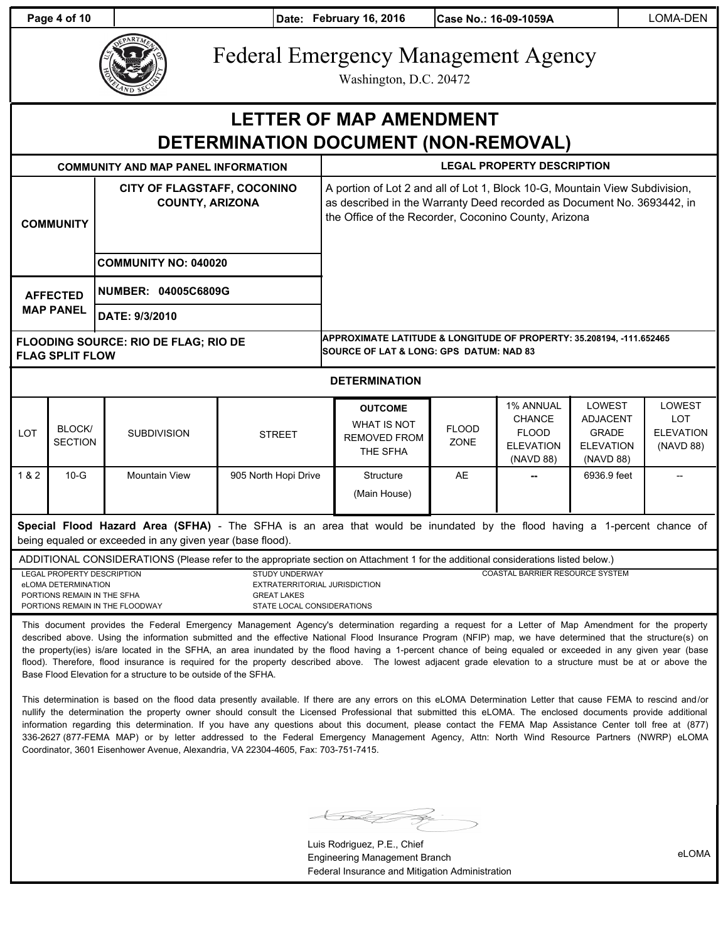**Page 4 of 10 Date: February 16, 2016 Case No.: 16-09-1059A LOMA-DEN** 



# Federal Emergency Management Agency

Washington, D.C. 20472

## **LETTER OF MAP AMENDMENT DETERMINATION DOCUMENT (NON-REMOVAL)**

|                                                                                                                                                                                       |                                                                                                                                     | <b>COMMUNITY AND MAP PANEL INFORMATION</b>                                           |                                                                                                     | <b>LEGAL PROPERTY DESCRIPTION</b>                                                                                                                                                                             |                      |                                                                                    |                                                                                   |                                                              |  |
|---------------------------------------------------------------------------------------------------------------------------------------------------------------------------------------|-------------------------------------------------------------------------------------------------------------------------------------|--------------------------------------------------------------------------------------|-----------------------------------------------------------------------------------------------------|---------------------------------------------------------------------------------------------------------------------------------------------------------------------------------------------------------------|----------------------|------------------------------------------------------------------------------------|-----------------------------------------------------------------------------------|--------------------------------------------------------------|--|
| <b>COMMUNITY</b>                                                                                                                                                                      |                                                                                                                                     | CITY OF FLAGSTAFF, COCONINO<br><b>COUNTY, ARIZONA</b><br><b>COMMUNITY NO: 040020</b> |                                                                                                     | A portion of Lot 2 and all of Lot 1, Block 10-G, Mountain View Subdivision,<br>as described in the Warranty Deed recorded as Document No. 3693442, in<br>the Office of the Recorder, Coconino County, Arizona |                      |                                                                                    |                                                                                   |                                                              |  |
| <b>AFFECTED</b><br><b>MAP PANEL</b>                                                                                                                                                   |                                                                                                                                     | NUMBER: 04005C6809G<br>DATE: 9/3/2010                                                |                                                                                                     |                                                                                                                                                                                                               |                      |                                                                                    |                                                                                   |                                                              |  |
|                                                                                                                                                                                       | <b>FLAG SPLIT FLOW</b>                                                                                                              | <b>FLOODING SOURCE: RIO DE FLAG; RIO DE</b>                                          |                                                                                                     | APPROXIMATE LATITUDE & LONGITUDE OF PROPERTY: 35.208194, -111.652465<br><b>SOURCE OF LAT &amp; LONG: GPS DATUM: NAD 83</b>                                                                                    |                      |                                                                                    |                                                                                   |                                                              |  |
| <b>DETERMINATION</b>                                                                                                                                                                  |                                                                                                                                     |                                                                                      |                                                                                                     |                                                                                                                                                                                                               |                      |                                                                                    |                                                                                   |                                                              |  |
| <b>LOT</b>                                                                                                                                                                            | <b>BLOCK/</b><br><b>SECTION</b>                                                                                                     | <b>SUBDIVISION</b>                                                                   | <b>STREET</b>                                                                                       | <b>OUTCOME</b><br><b>WHAT IS NOT</b><br><b>REMOVED FROM</b><br>THE SFHA                                                                                                                                       | <b>FLOOD</b><br>ZONE | <b>1% ANNUAL</b><br><b>CHANCE</b><br><b>FLOOD</b><br><b>ELEVATION</b><br>(NAVD 88) | <b>LOWEST</b><br><b>ADJACENT</b><br><b>GRADE</b><br><b>ELEVATION</b><br>(NAVD 88) | <b>LOWEST</b><br><b>LOT</b><br><b>ELEVATION</b><br>(NAVD 88) |  |
| 1 & 2                                                                                                                                                                                 | $10-G$                                                                                                                              | Mountain View                                                                        | 905 North Hopi Drive                                                                                | Structure<br>(Main House)                                                                                                                                                                                     | <b>AE</b>            |                                                                                    | 6936.9 feet                                                                       |                                                              |  |
| Special Flood Hazard Area (SFHA) - The SFHA is an area that would be inundated by the flood having a 1-percent chance of<br>being equaled or exceeded in any given year (base flood). |                                                                                                                                     |                                                                                      |                                                                                                     |                                                                                                                                                                                                               |                      |                                                                                    |                                                                                   |                                                              |  |
|                                                                                                                                                                                       | ADDITIONAL CONSIDERATIONS (Please refer to the appropriate section on Attachment 1 for the additional considerations listed below.) |                                                                                      |                                                                                                     |                                                                                                                                                                                                               |                      |                                                                                    |                                                                                   |                                                              |  |
|                                                                                                                                                                                       | LEGAL PROPERTY DESCRIPTION<br>eLOMA DETERMINATION<br>PORTIONS REMAIN IN THE SFHA                                                    | PORTIONS REMAIN IN THE FLOODWAY                                                      | STUDY UNDERWAY<br>EXTRATERRITORIAL JURISDICTION<br><b>GREAT LAKES</b><br>STATE LOCAL CONSIDERATIONS | COASTAL BARRIER RESOURCE SYSTEM                                                                                                                                                                               |                      |                                                                                    |                                                                                   |                                                              |  |

This document provides the Federal Emergency Management Agency's determination regarding a request for a Letter of Map Amendment for the property described above. Using the information submitted and the effective National Flood Insurance Program (NFIP) map, we have determined that the structure(s) on the property(ies) is/are located in the SFHA, an area inundated by the flood having a 1-percent chance of being equaled or exceeded in any given year (base flood). Therefore, flood insurance is required for the property described above. The lowest adjacent grade elevation to a structure must be at or above the Base Flood Elevation for a structure to be outside of the SFHA.

This determination is based on the flood data presently available. If there are any errors on this eLOMA Determination Letter that cause FEMA to rescind and/or nullify the determination the property owner should consult the Licensed Professional that submitted this eLOMA. The enclosed documents provide additional information regarding this determination. If you have any questions about this document, please contact the FEMA Map Assistance Center toll free at (877) 336-2627 (877-FEMA MAP) or by letter addressed to the Federal Emergency Management Agency, Attn: North Wind Resource Partners (NWRP) eLOMA Coordinator, 3601 Eisenhower Avenue, Alexandria, VA 22304-4605, Fax: 703-751-7415.

talet

Luis Rodriguez, P.E., Chief Engineering Management Branch Federal Insurance and Mitigation Administration

eLOMA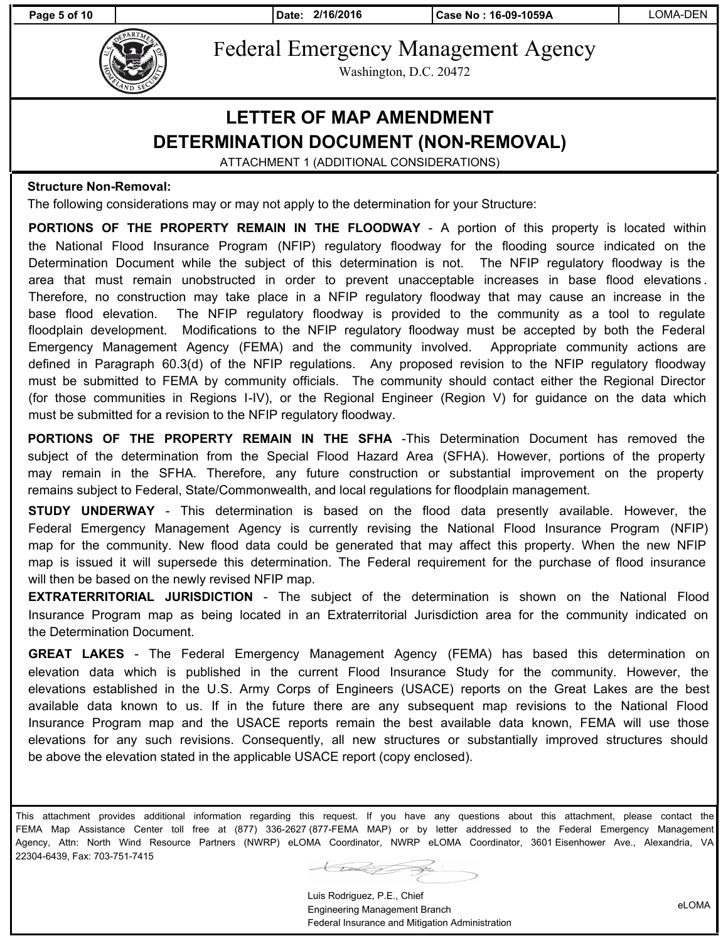**Page 5 of 10 Date: 2/16/2016 Case No : 16-09-1059A** LOMA-DEN



Federal Emergency Management Agency

Washington, D.C. 20472

## **LETTER OF MAP AMENDMENT DETERMINATION DOCUMENT (NON-REMOVAL)**

ATTACHMENT 1 (ADDITIONAL CONSIDERATIONS)

#### **Structure Non-Removal:**

The following considerations may or may not apply to the determination for your Structure:

**PORTIONS OF THE PROPERTY REMAIN IN THE FLOODWAY** - A portion of this property is located within the National Flood Insurance Program (NFIP) regulatory floodway for the flooding source indicated on the Determination Document while the subject of this determination is not. The NFIP regulatory floodway is the area that must remain unobstructed in order to prevent unacceptable increases in base flood elevations . Therefore, no construction may take place in a NFIP regulatory floodway that may cause an increase in the base flood elevation. The NFIP regulatory floodway is provided to the community as a tool to regulate floodplain development. Modifications to the NFIP regulatory floodway must be accepted by both the Federal Emergency Management Agency (FEMA) and the community involved. Appropriate community actions are defined in Paragraph 60.3(d) of the NFIP regulations. Any proposed revision to the NFIP regulatory floodway must be submitted to FEMA by community officials. The community should contact either the Regional Director (for those communities in Regions I-IV), or the Regional Engineer (Region V) for guidance on the data which must be submitted for a revision to the NFIP regulatory floodway.

**PORTIONS OF THE PROPERTY REMAIN IN THE SFHA** -This Determination Document has removed the subject of the determination from the Special Flood Hazard Area (SFHA). However, portions of the property may remain in the SFHA. Therefore, any future construction or substantial improvement on the property remains subject to Federal, State/Commonwealth, and local regulations for floodplain management.

**STUDY UNDERWAY** - This determination is based on the flood data presently available. However, the Federal Emergency Management Agency is currently revising the National Flood Insurance Program (NFIP) map for the community. New flood data could be generated that may affect this property. When the new NFIP map is issued it will supersede this determination. The Federal requirement for the purchase of flood insurance will then be based on the newly revised NFIP map.

**EXTRATERRITORIAL JURISDICTION** - The subject of the determination is shown on the National Flood Insurance Program map as being located in an Extraterritorial Jurisdiction area for the community indicated on the Determination Document.

**GREAT LAKES** - The Federal Emergency Management Agency (FEMA) has based this determination on elevation data which is published in the current Flood Insurance Study for the community. However, the elevations established in the U.S. Army Corps of Engineers (USACE) reports on the Great Lakes are the best available data known to us. If in the future there are any subsequent map revisions to the National Flood Insurance Program map and the USACE reports remain the best available data known, FEMA will use those elevations for any such revisions. Consequently, all new structures or substantially improved structures should be above the elevation stated in the applicable USACE report (copy enclosed).

This attachment provides additional information regarding this request. If you have any questions about this attachment, please contact the FEMA Map Assistance Center toll free at (877) 336-2627 (877-FEMA MAP) or by letter addressed to the Federal Emergency Management Agency, Attn: North Wind Resource Partners (NWRP) eLOMA Coordinator, NWRP eLOMA Coordinator, 3601 Eisenhower Ave., Alexandria, VA 22304-6439, Fax: 703-751-7415

 $\overline{\phantom{a}}$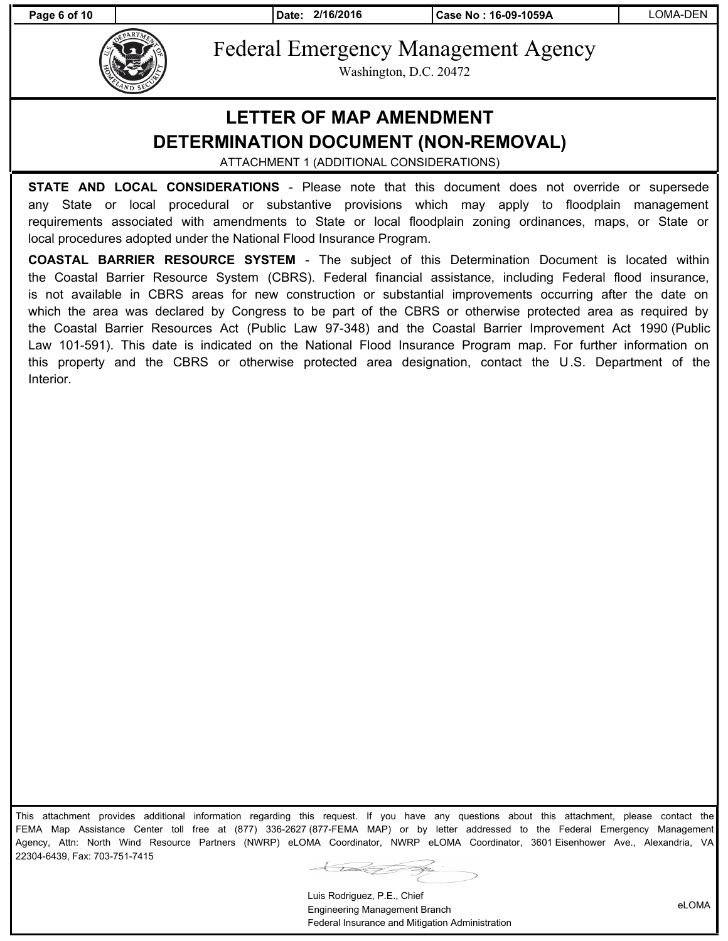**Page 6 of 10 Date: 2/16/2016 Case No : 16-09-1059A** LOMA-DEN



Federal Emergency Management Agency

Washington, D.C. 20472

## **LETTER OF MAP AMENDMENT DETERMINATION DOCUMENT (NON-REMOVAL)**

ATTACHMENT 1 (ADDITIONAL CONSIDERATIONS)

**STATE AND LOCAL CONSIDERATIONS** - Please note that this document does not override or supersede any State or local procedural or substantive provisions which may apply to floodplain management requirements associated with amendments to State or local floodplain zoning ordinances, maps, or State or local procedures adopted under the National Flood Insurance Program.

**COASTAL BARRIER RESOURCE SYSTEM** - The subject of this Determination Document is located within the Coastal Barrier Resource System (CBRS). Federal financial assistance, including Federal flood insurance, is not available in CBRS areas for new construction or substantial improvements occurring after the date on which the area was declared by Congress to be part of the CBRS or otherwise protected area as required by the Coastal Barrier Resources Act (Public Law 97-348) and the Coastal Barrier Improvement Act 1990 (Public Law 101-591). This date is indicated on the National Flood Insurance Program map. For further information on this property and the CBRS or otherwise protected area designation, contact the U.S. Department of the Interior.

This attachment provides additional information regarding this request. If you have any questions about this attachment, please contact the FEMA Map Assistance Center toll free at (877) 336-2627 (877-FEMA MAP) or by letter addressed to the Federal Emergency Management Agency, Attn: North Wind Resource Partners (NWRP) eLOMA Coordinator, NWRP eLOMA Coordinator, 3601 Eisenhower Ave., Alexandria, VA 22304-6439, Fax: 703-751-7415

 $\bigcup$